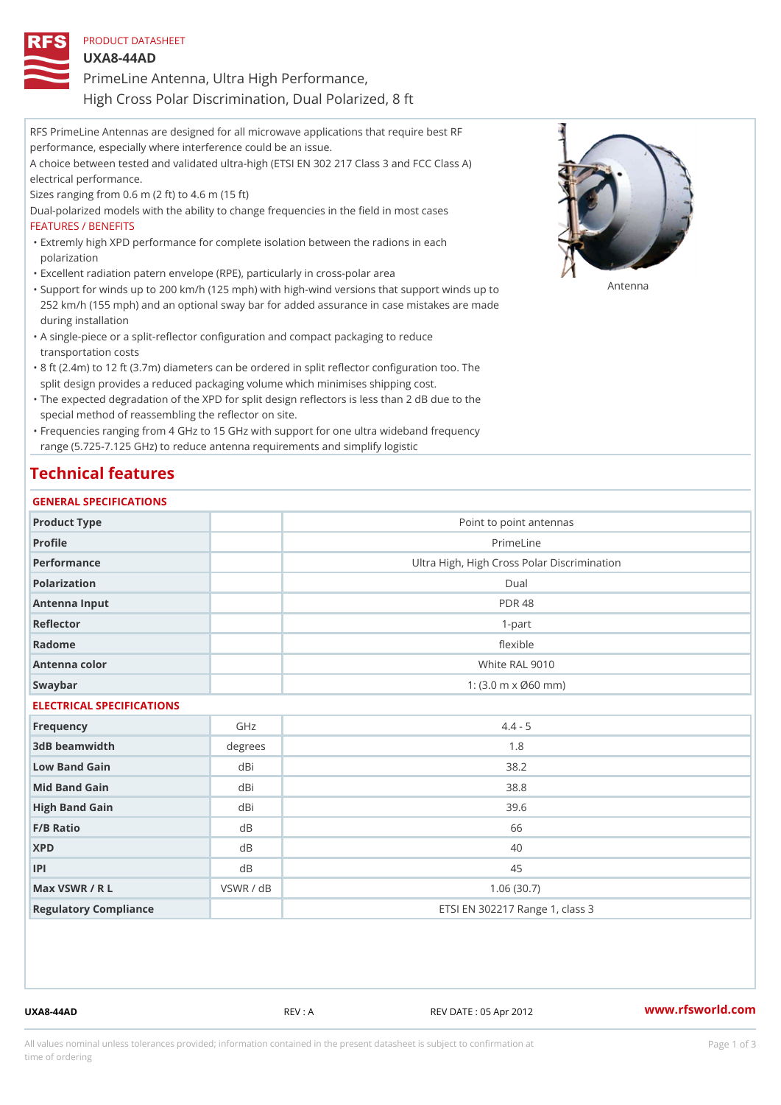| PRODUCT DATASHEET                                     |  |
|-------------------------------------------------------|--|
| $UXA8-44AD$                                           |  |
| PrimeLine Antenna, Ultra High Performance,            |  |
| High Cross Polar Discrimination, Dual Polarized, 8 ft |  |

RFS PrimeLine Antennas are designed for all microwave applications that require best RF performance, especially where interference could be an issue. A choice between tested and validated ultra-high (ETSI EN 302 217 Class 3 and FCC Class A) electrical performance. Sizes ranging from 0.6 m (2 ft) to 4.6 m (15 ft) Dual-polarized models with the ability to change frequencies in the field in most cases FEATURES / BENEFITS Extremly high XPD performance for complete isolation between the radions in each " polarization "Excellent radiation patern envelope (RPE), particularly in cross-polar area "Support for winds up to 200 km/h (125 mph) with high-wind versions that support for wands up to 252 km/h (155 mph) and an optional sway bar for added assurance in case mistakes are made during installation

- A single-piece or a split-reflector configuration and compact packaging to reduce " transportation costs
- 8 ft (2.4m) to 12 ft (3.7m) diameters can be ordered in split reflector configuration too. The " split design provides a reduced packaging volume which minimises shipping cost.
- "The expected degradation of the XPD for split design reflectors is less than 2 dB due to the special method of reassembling the reflector on site.

Frequencies ranging from 4 GHz to 15 GHz with support for one ultra wideband frequency " range (5.725-7.125 GHz) to reduce antenna requirements and simplify logistic

### Technical features

#### GENERAL SPECIFICATIONS

| Product Type              |           | Point to point antennas                                 |  |  |  |
|---------------------------|-----------|---------------------------------------------------------|--|--|--|
| Profile                   |           | PrimeLine                                               |  |  |  |
| Performance               |           | Ultra High, High Cross Polar Discrimination             |  |  |  |
| Polarization              |           | $D$ ual                                                 |  |  |  |
| Antenna Input             |           | <b>PDR 48</b>                                           |  |  |  |
| Reflector                 |           | $1 - p$ art                                             |  |  |  |
| Radome                    |           | flexible                                                |  |  |  |
| Antenna color             |           | White RAL 9010                                          |  |  |  |
| Swaybar                   |           | 1: $(3.0 \, \text{m} \times \emptyset 60 \, \text{mm})$ |  |  |  |
| ELECTRICAL SPECIFICATIONS |           |                                                         |  |  |  |
| Frequency                 | GHz       | $4.4 - 5$                                               |  |  |  |
| 3dB beamwidth             | degrees   | 1.8                                                     |  |  |  |
| Low Band Gain             | dBi       | 38.2                                                    |  |  |  |
| Mid Band Gain             | dBi       | $38.8$                                                  |  |  |  |
| High Band Gain            | dBi       | 39.6                                                    |  |  |  |
| $F/B$ Ratio               | $d$ B     | 66                                                      |  |  |  |
| <b>XPD</b>                | d B       | 40                                                      |  |  |  |
| P                         | $d$ B     | 45                                                      |  |  |  |
| Max VSWR / R L            | VSWR / dB | 1.06(30.7)                                              |  |  |  |
| Regulatory Compliance     |           | ETSI EN 302217 Range 1, class 3                         |  |  |  |

UXA8-44AD REV : A REV DATE : 05 Apr 2012 [www.](https://www.rfsworld.com)rfsworld.com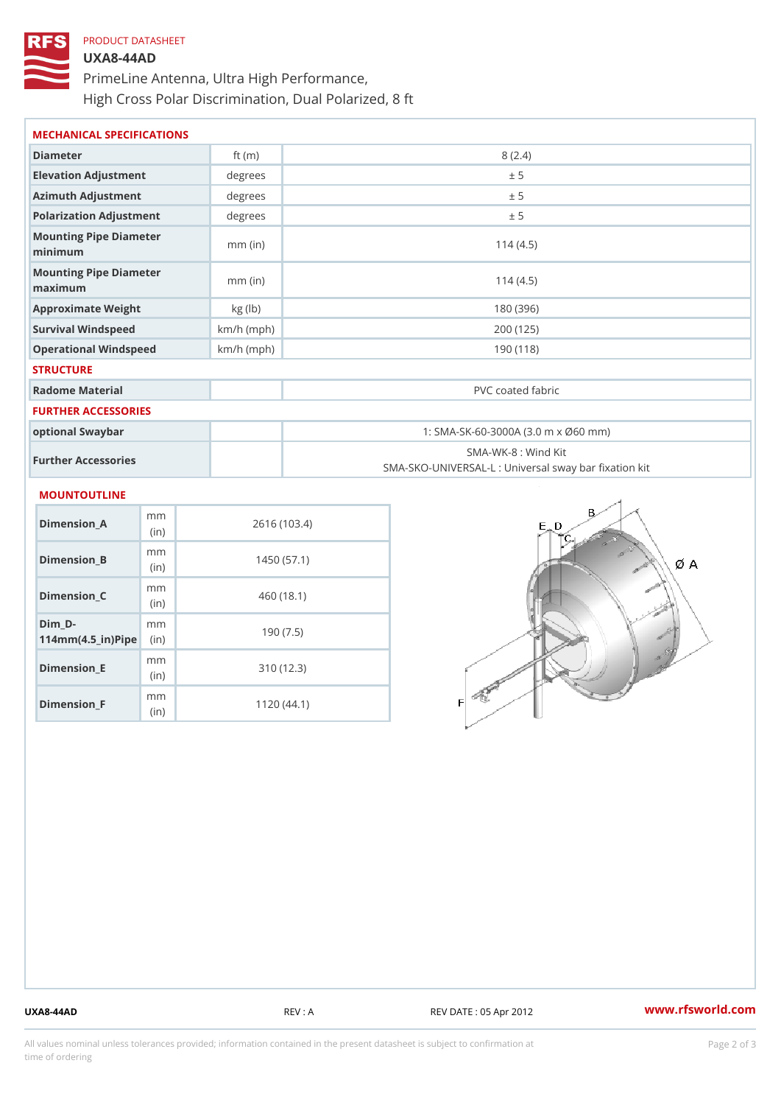# PRODUCT DATASHEET UXA8-44AD PrimeLine Antenna, Ultra High Performance, High Cross Polar Discrimination, Dual Polarized, 8 ft

| MECHANICAL SPECIFICATIONS                     |              |                                                                          |  |  |
|-----------------------------------------------|--------------|--------------------------------------------------------------------------|--|--|
| Diameter                                      | ft $(m)$     | 8(2.4)                                                                   |  |  |
| Elevation Adjustment                          | degree:      | ± 5                                                                      |  |  |
| Azimuth Adjustment                            | degree:      | ± 5                                                                      |  |  |
| Polarization Adjustment                       | degrees      | ± 5                                                                      |  |  |
| Mounting Pipe Diameter<br>minimum             | $mm$ (in)    | 114(4.5)                                                                 |  |  |
| Mounting Pipe Diameter<br>$m$ a x i $m$ u $m$ | $mm$ (in)    | 114(4.5)                                                                 |  |  |
| Approximate Weight                            | kg (lb)      | 180 (396)                                                                |  |  |
| Survival Windspeed                            | $km/h$ (mph) | 200 (125)                                                                |  |  |
| Operational Windspeed<br>$km/h$ (mph)         |              | 190 (118)                                                                |  |  |
| <b>STRUCTURE</b>                              |              |                                                                          |  |  |
| Radome Material                               |              | PVC coated fabric                                                        |  |  |
| FURTHER ACCESSORIES                           |              |                                                                          |  |  |
| optional Swaybar                              |              | 1: SMA-SK-60-3000A (3.0 m x Ø60 mm)                                      |  |  |
| Further Accessories                           |              | SMA-WK-8 : Wind Kit<br>SMA-SKO-UNIVERSAL-L : Universal sway bar fixation |  |  |
| <b>MOUNTOUTLINE</b>                           |              |                                                                          |  |  |
| m <sub>m</sub><br>$Dimension_A$<br>(in)       |              | 2616 (103.4)                                                             |  |  |
| m <sub>m</sub><br>Dimension_B<br>(in)         |              | 1450(57.1)                                                               |  |  |
| m m<br>$Dimen sion_C$<br>$\int$ in            |              | 460 (18.1)                                                               |  |  |

(in)

mm

mm (in)

m<sub>m</sub> (in)

 $Dim_D -$ 

Dimension\_E

Dimension\_F

 $114$  m m (4.5 \_ i r )  $\sqrt{$  ii p  $\ge$ 

190 (7.5)

310 (12.3)

1120 (44.1)

UXA8-44AD REV : A REV DATE : 05 Apr 2012 WWW.rfsworld.com